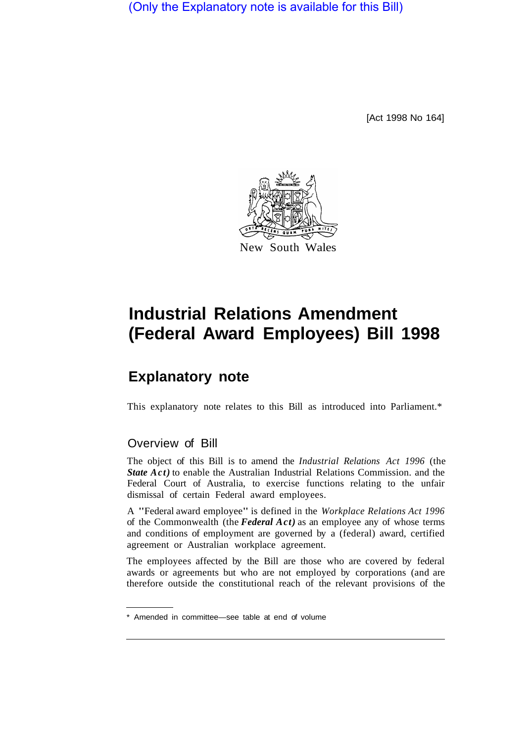(Only the Explanatory note is available for this Bill)

[Act 1998 No 164]



## **Industrial Relations Amendment (Federal Award Employees) Bill 1998**

## **Explanatory note**

This explanatory note relates to this Bill as introduced into Parliament.\*

## Overview of Bill

The object of this Bill is to amend the *Industrial Relations Act 1996* (the *State Act)* to enable the Australian Industrial Relations Commission. and the Federal Court of Australia, to exercise functions relating to the unfair dismissal of certain Federal award employees.

A "Federal award employee" is defined in the *Workplace Relations Act 1996*  of the Commonwealth (the *Federal Act)* as an employee any of whose terms and conditions of employment are governed by a (federal) award, certified agreement or Australian workplace agreement.

The employees affected by the Bill are those who are covered by federal awards or agreements but who are not employed by corporations (and are therefore outside the constitutional reach of the relevant provisions of the

<sup>\*</sup> Amended in committee—see table at end of volume